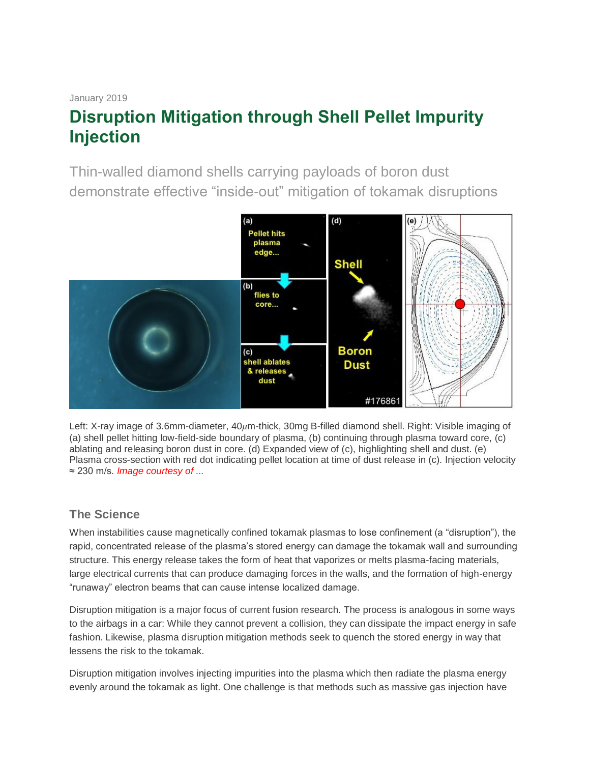#### January 2019

# **Disruption Mitigation through Shell Pellet Impurity Injection**

Thin-walled diamond shells carrying payloads of boron dust demonstrate effective "inside-out" mitigation of tokamak disruptions



Left: X-ray image of 3.6mm-diameter,  $40 \mu$ m-thick, 30mg B-filled diamond shell. Right: Visible imaging of (a) shell pellet hitting low-field-side boundary of plasma, (b) continuing through plasma toward core, (c) ablating and releasing boron dust in core. (d) Expanded view of (c), highlighting shell and dust. (e) Plasma cross-section with red dot indicating pellet location at time of dust release in (c). Injection velocity ≈ 230 m/s. *Image courtesy of ...*

# **The Science**

When instabilities cause magnetically confined tokamak plasmas to lose confinement (a "disruption"), the rapid, concentrated release of the plasma's stored energy can damage the tokamak wall and surrounding structure. This energy release takes the form of heat that vaporizes or melts plasma-facing materials, large electrical currents that can produce damaging forces in the walls, and the formation of high-energy "runaway" electron beams that can cause intense localized damage.

Disruption mitigation is a major focus of current fusion research. The process is analogous in some ways to the airbags in a car: While they cannot prevent a collision, they can dissipate the impact energy in safe fashion. Likewise, plasma disruption mitigation methods seek to quench the stored energy in way that lessens the risk to the tokamak.

Disruption mitigation involves injecting impurities into the plasma which then radiate the plasma energy evenly around the tokamak as light. One challenge is that methods such as massive gas injection have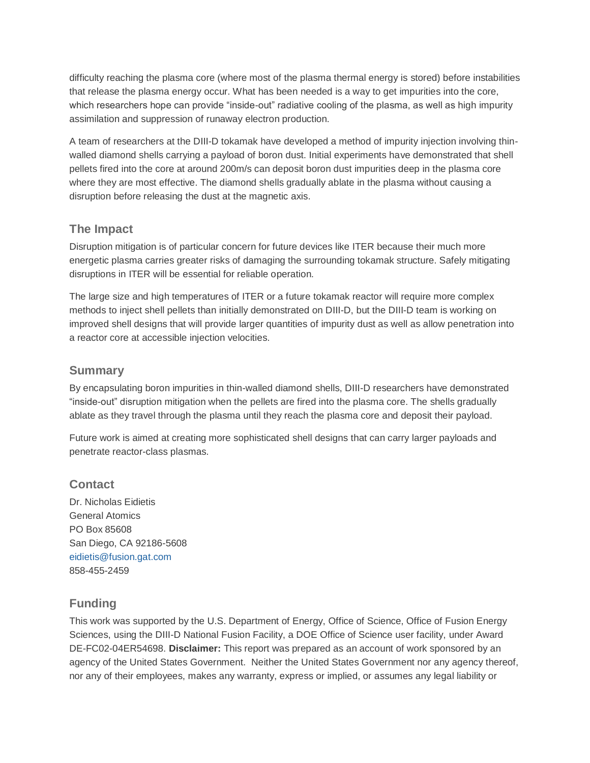difficulty reaching the plasma core (where most of the plasma thermal energy is stored) before instabilities that release the plasma energy occur. What has been needed is a way to get impurities into the core, which researchers hope can provide "inside-out" radiative cooling of the plasma, as well as high impurity assimilation and suppression of runaway electron production.

A team of researchers at the DIII-D tokamak have developed a method of impurity injection involving thinwalled diamond shells carrying a payload of boron dust. Initial experiments have demonstrated that shell pellets fired into the core at around 200m/s can deposit boron dust impurities deep in the plasma core where they are most effective. The diamond shells gradually ablate in the plasma without causing a disruption before releasing the dust at the magnetic axis.

### **The Impact**

Disruption mitigation is of particular concern for future devices like ITER because their much more energetic plasma carries greater risks of damaging the surrounding tokamak structure. Safely mitigating disruptions in ITER will be essential for reliable operation.

The large size and high temperatures of ITER or a future tokamak reactor will require more complex methods to inject shell pellets than initially demonstrated on DIII-D, but the DIII-D team is working on improved shell designs that will provide larger quantities of impurity dust as well as allow penetration into a reactor core at accessible injection velocities.

### **Summary**

By encapsulating boron impurities in thin-walled diamond shells, DIII-D researchers have demonstrated "inside-out" disruption mitigation when the pellets are fired into the plasma core. The shells gradually ablate as they travel through the plasma until they reach the plasma core and deposit their payload.

Future work is aimed at creating more sophisticated shell designs that can carry larger payloads and penetrate reactor-class plasmas.

# **Contact**

Dr. Nicholas Eidietis General Atomics PO Box 85608 San Diego, CA 92186-5608 [eidietis@fusion.gat.com](mailto:eidietis@fusion.gat.com) 858-455-2459

# **Funding**

This work was supported by the U.S. Department of Energy, Office of Science, Office of Fusion Energy Sciences, using the DIII-D National Fusion Facility, a DOE Office of Science user facility, under Award DE-FC02-04ER54698. **Disclaimer:** This report was prepared as an account of work sponsored by an agency of the United States Government. Neither the United States Government nor any agency thereof, nor any of their employees, makes any warranty, express or implied, or assumes any legal liability or